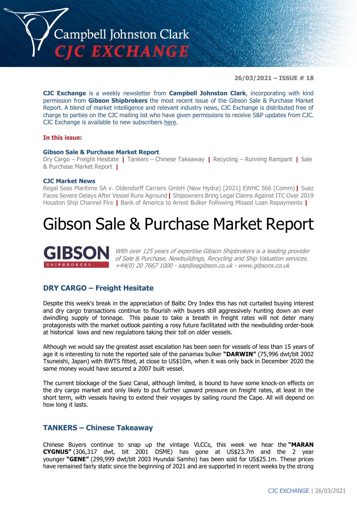

**26/03/2021 – ISSUE # 18**

**CJC Exchange** is a weekly newsletter from **Campbell Johnston Clark**, incorporating with kind permission from **Gibson Shipbrokers** the most recent issue of the Gibson Sale & Purchase Market Report. A blend of market intelligence and relevant industry news, CJC Exchange is distributed free of charge to parties on the CJC mailing list who have given permissions to receive S&P updates from CJC. CJC Exchange is available to new subscribers [here.](mailto:jamesc@cjclaw.com?subject=CJC%20Exchange%20sign-up)

#### **In this issue:**

#### **Gibson Sale & Purchase Market Report**

Dry Cargo – Freight Hesitate **|** Tankers – Chinese Takeaway **|** Recycling – Running Rampant **|** Sale & Purchase Market Report **|**

#### **CJC Market News**

Regal Seas Maritime SA v. Oldendorff Carriers GmbH (New Hydra) [2021] EWHC 566 (Comm)**|** Suez Faces Severe Delays After Vessel Runs Aground**|** Shipowners Bring Legal Claims Against ITC Over 2019 Houston Ship Channel Fire **|** Bank of America to Arrest Bulker Following Missed Loan Repayments **|**

# Gibson Sale & Purchase Market Report



With over 125 years of expertise Gibson Shipbrokers is a leading provider of Sale & Purchase, Newbuildings, Recycling and Ship Valuation services. +44(0) 20 7667 1000 - [sap@eagibson.co.uk](mailto:sap@eagibson.co.uk) - [www.gibsons.co.uk](https://protect-eu.mimecast.com/s/VO6nCGZzRS60KqcK1jQh/)

## **DRY CARGO – Freight Hesitate**

Despite this week's break in the appreciation of Baltic Dry Index this has not curtailed buying interest and dry cargo transactions continue to flourish with buyers still aggressively hunting down an ever dwindling supply of tonnage. This pause to take a breath in freight rates will not deter many protagonists with the market outlook painting a rosy future facilitated with the newbuilding order-book at historical lows and new regulations taking their toll on older vessels.

Although we would say the greatest asset escalation has been seen for vessels of less than 15 years of age it is interesting to note the reported sale of the panamax bulker **"DARWIN"** (75,996 dwt/blt 2002 Tsuneishi, Japan) with BWTS fitted, at close to US\$10m, when it was only back in December 2020 the same money would have secured a 2007 built vessel.

The current blockage of the Suez Canal, although limited, is bound to have some knock-on effects on the dry cargo market and only likely to put further upward pressure on freight rates, at least in the short term, with vessels having to extend their voyages by sailing round the Cape. All will depend on how long it lasts.

## **TANKERS – Chinese Takeaway**

Chinese Buyers continue to snap up the vintage VLCCs, this week we hear the **"MARAN CYGNUS"** (306,317 dwt, blt 2001 DSME) has gone at US\$23.7m and the 2 year younger **"GENE"** (299,999 dwt/blt 2003 Hyundai Samho) has been sold for US\$25.1m. These prices have remained fairly static since the beginning of 2021 and are supported in recent weeks by the strong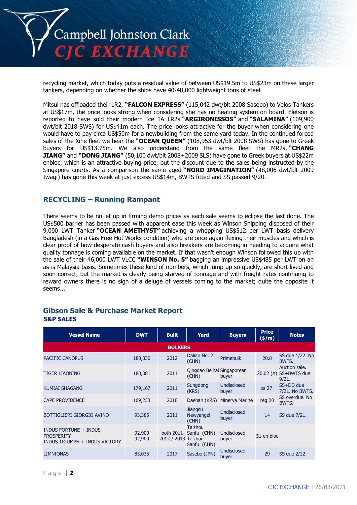

recycling market, which today puts a residual value of between US\$19.5m to US\$23m on these larger tankers, depending on whether the ships have 40-48,000 lightweight tons of steel.

Mitsui has offloaded their LR2, **"FALCON EXPRESS"** (115,042 dwt/blt 2008 Sasebo) to Velos Tankers at US\$17m, the price looks strong when considering she has no heating system on board. Eletson is reported to have sold their modern Ice 1A LR2s **"ARGIRONISSOS"** and **"SALAMINA"** (109,900 dwt/blt 2018 SWS) for US\$41m each. The price looks attractive for the buyer when considering one would have to pay circa US\$50m for a newbuilding from the same yard today. In the continued forced sales of the Xihe fleet we hear the **"OCEAN QUEEN"** (108,953 dwt/blt 2008 SWS) has gone to Greek buyers for US\$13.75m. We also understand from the same fleet the MR2s, **"CHANG JIANG"** and **"DONG JIANG"** (50,100 dwt/blt 2008+2009 SLS) have gone to Greek buyers at US\$22m enbloc, which is an attractive buying price, but the discount due to the sales being instructed by the Singapore courts. As a comparison the same aged **"NORD IMAGINATION"** (48,006 dwt/blt 2009 Iwagi) has gone this week at just excess US\$14m, BWTS fitted and SS passed 9/20.

# **RECYCLING – Running Rampant**

There seems to be no let up in firming demo prices as each sale seems to eclipse the last done. The US\$500 barrier has been passed with apparent ease this week as Winson Shipping disposed of their 9,000 LWT Tanker **"OCEAN AMETHYST"** achieving a whopping US\$512 per LWT basis delivery Bangladesh (in a Gas Free Hot Works condition) who are once again flexing their muscles and which is clear proof of how desperate cash buyers and also breakers are becoming in needing to acquire what quality tonnage is coming available on the market. If that wasn't enough Winson followed this up with the sale of their 46,000 LWT VLCC **"WINSON No. 5"** bagging an impressive US\$485 per LWT on an as-is Malaysia basis. Sometimes these kind of numbers, which jump up so quickly, are short lived and soon correct, but the market is clearly being starved of tonnage and with freight rates continuing to reward owners there is no sign of a deluge of vessels coming to the market; quite the opposite it seems...

| <b>Vessel Name</b>                                                                 | <b>DWT</b>       | <b>Built</b>             | Yard                                                    | <b>Buyers</b>               | <b>Price</b><br>(\$/m) | <b>Notes</b>                          |
|------------------------------------------------------------------------------------|------------------|--------------------------|---------------------------------------------------------|-----------------------------|------------------------|---------------------------------------|
|                                                                                    |                  | <b>BULKERS</b>           |                                                         |                             |                        |                                       |
| <b>PACIFIC CANOPUS</b>                                                             | 180,330          | 2012                     | Dalian No. 2<br>(CHN)                                   | Primebulk                   | 20.8                   | SS due 1/22. No<br>BWTS.              |
| <b>TIGER LIAONING</b>                                                              | 180,081          | 2011                     | Qingdao Beihai Singaporean<br>(CHN)                     | buyer                       | 20.02(A)               | Auction sale.<br>SS+BWTS due<br>9/21. |
| <b>KUMIAI SHAGANG</b>                                                              | 179,167          | 2011                     | Sungdong<br>(KRS)                                       | <b>Undisclosed</b><br>buyer | <b>xs 27</b>           | SS+DD due<br>7/21. No BWTS.           |
| <b>CAPE PROVIDENCE</b>                                                             | 169,233          | 2010                     | Daehan (KRS)                                            | <b>Minerva Marine</b>       | reg 20                 | SS overdue, No<br>BWTS.               |
| BOTTIGLIERI GIORGIO AVINO                                                          | 93,385           | 2011                     | Jiangsu<br>Newyangzi<br>(CHN)                           | Undisclosed<br>buyer        | 14                     | SS due 7/21.                          |
| <b>INDUS FORTUNE + INDUS</b><br><b>PROSPERITY</b><br>INDUS TRIUMPH + INDUS VICTORY | 92,900<br>92,900 | both 2011<br>2012 / 2013 | Taizhou<br>Sanfu (CHN)<br><b>Taizhou</b><br>Sanfu (CHN) | Undisclosed<br>buyer        | 51 en bloc             |                                       |
| <b>LIMNIONAS</b>                                                                   | 85,035           | 2017                     | Sasebo (JPN)                                            | <b>Undisclosed</b><br>buyer | 29                     | SS due 2/22.                          |

#### **Gibson Sale & Purchase Market Report S&P SALES**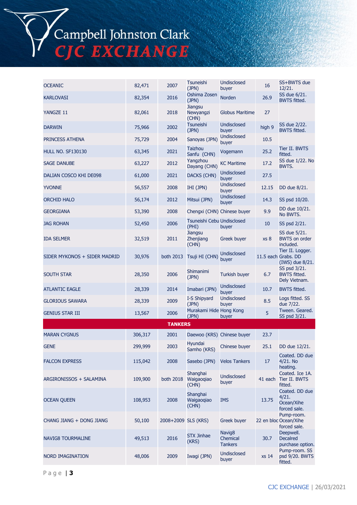Campbell Johnston Clark<br>CJC EXCHANGE

| <b>OCEANIC</b>               | 82,471  | 2007                | <b>Tsuneishi</b><br>(JPN)            | <b>Undisclosed</b><br>buyer                      | 16      | SS+BWTS due<br>12/21.                                      |
|------------------------------|---------|---------------------|--------------------------------------|--------------------------------------------------|---------|------------------------------------------------------------|
| <b>KARLOVASI</b>             | 82,354  | 2016                | Oshima Zosen<br>(JPN)                | <b>Norden</b>                                    | 26.9    | SS due 6/21.<br><b>BWTS fitted.</b>                        |
| YANGZE 11                    | 82,061  | 2018                | <b>Jiangsu</b><br>Newyangzi<br>(CHN) | <b>Globus Maritime</b>                           | 27      |                                                            |
| <b>DARWIN</b>                | 75,966  | 2002                | <b>Tsuneishi</b><br>(JPN)            | <b>Undisclosed</b><br>buyer                      | high 9  | SS due 2/22.<br><b>BWTS fitted.</b>                        |
| PRINCESS ATHENA              | 75,729  | 2004                | Sanoyas (JPN)                        | <b>Undisclosed</b><br>buyer                      | 10.5    |                                                            |
| <b>HULL NO. SF130130</b>     | 63,345  | 2021                | Taizhou<br>Sanfu (CHN)               | Vogemann                                         | 25.2    | Tier II. BWTS<br>fitted.                                   |
| <b>SAGE DANUBE</b>           | 63,227  | 2012                | Yangzhou<br>Dayang (CHN)             | <b>KC Maritime</b>                               | 17.2    | SS due 1/22. No<br>BWTS.                                   |
| DALIAN COSCO KHI DE098       | 61,000  | 2021                | <b>DACKS (CHN)</b>                   | <b>Undisclosed</b><br>buyer                      | 27.5    |                                                            |
| <b>YVONNE</b>                | 56,557  | 2008                | IHI (JPN)                            | <b>Undisclosed</b><br>buyer                      | 12.15   | DD due 8/21.                                               |
| <b>ORCHID HALO</b>           | 56,174  | 2012                | Mitsui (JPN)                         | Undisclosed<br>buyer                             | 14.3    | SS psd 10/20.                                              |
| <b>GEORGIANA</b>             | 53,390  | 2008                | Chengxi (CHN) Chinese buyer          |                                                  | 9.9     | DD due 10/21.<br>No BWTS.                                  |
| <b>JAG ROHAN</b>             | 52,450  | 2006                | Tsuneishi Cebu Undisclosed<br>(PHI)  | buyer                                            | 10      | SS psd 2/21.                                               |
| <b>IDA SELMER</b>            | 32,519  | 2011                | Jiangsu<br>Zhenjiang<br>(CHN)        | <b>Greek buyer</b>                               | xs 8    | SS due 5/21.<br><b>BWTS on order</b><br>included.          |
| SIDER MYKONOS + SIDER MADRID | 30,976  | both 2013           | Tsuji HI (CHN)                       | Undisclosed<br>buyer                             |         | Tier II. Logger.<br>11.5 each Grabs. DD<br>(IWS) due 8/21. |
| <b>SOUTH STAR</b>            | 28,350  | 2006                | <b>Shimanimi</b><br>(JPN)            | Turkish buyer                                    | 6.7     | SS psd 3/21.<br><b>BWTS fitted.</b><br>Dely Vietnam.       |
| <b>ATLANTIC EAGLE</b>        | 28,339  | 2014                | Imabari (JPN)                        | <b>Undisclosed</b><br>buyer                      | 10.7    | <b>BWTS fitted.</b>                                        |
| <b>GLORIOUS SAWARA</b>       | 28,339  | 2009                | I-S Shipyard<br>(JPN)                | <b>Undisclosed</b><br>buyer                      | 8.5     | Logs fitted. SS<br>due 7/22.                               |
| <b>GENIUS STAR III</b>       | 13,567  | 2006                | Murakami Hide Hong Kong<br>(JPN)     | buyer                                            | 5       | Tween. Geared.<br>SS psd 3/21.                             |
|                              |         | <b>TANKERS</b>      |                                      |                                                  |         |                                                            |
| <b>MARAN CYGNUS</b>          | 306,317 | 2001                | Daewoo (KRS) Chinese buyer           |                                                  | 23.7    |                                                            |
| <b>GENE</b>                  | 299,999 | 2003                | Hyundai<br>Samho (KRS)               | Chinese buyer                                    | 25.1    | DD due 12/21.                                              |
| <b>FALCON EXPRESS</b>        | 115,042 | 2008                | Sasebo (JPN)                         | <b>Velos Tankers</b>                             | 17      | Coated. DD due<br>4/21. No<br>heating.                     |
| ARGIRONISSOS + SALAMINA      | 109,900 | both 2018           | Shanghai<br>Waigaoqiao<br>(CHN)      | <b>Undisclosed</b><br>buyer                      | 41 each | Coated. Ice 1A.<br>Tier II. BWTS<br>fitted.                |
| <b>OCEAN QUEEN</b>           | 108,953 | 2008                | Shanghai<br>Waigaoqiao<br>(CHN)      | IMS                                              | 13.75   | Coated. DD due<br>4/21.<br>Ocean/Xihe<br>forced sale.      |
| CHANG JIANG + DONG JIANG     | 50,100  | 2008+2009 SLS (KRS) |                                      | Greek buyer                                      |         | Pump-room.<br>22 en bloc Ocean/Xihe<br>forced sale.        |
| NAVIG8 TOURMALINE            | 49,513  | 2016                | <b>STX Jinhae</b><br>(KRS)           | Navig <sub>8</sub><br>Chemical<br><b>Tankers</b> | 30.7    | Deepwell.<br><b>Decalred</b><br>purchase option.           |
| NORD IMAGINATION             | 48,006  | 2009                | Iwagi (JPN)                          | <b>Undisclosed</b><br>buyer                      | xs 14   | Pump-room. SS<br>psd 9/20. BWTS<br>fitted.                 |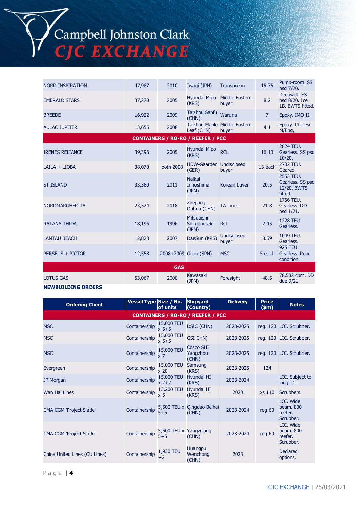# Campbell Johnston Clark<br>CJC EXCHANGE

| <b>NORD INSPIRATION</b> | 47,987 | 2010       | Iwagi (JPN)                              | Transocean                            | 15.75          | Pump-room. SS<br>psd 7/20.                              |
|-------------------------|--------|------------|------------------------------------------|---------------------------------------|----------------|---------------------------------------------------------|
| <b>EMERALD STARS</b>    | 37,270 | 2005       | Hyundai Mipo<br>(KRS)                    | Middle Eastern<br>buyer               | 8.2            | Deepwell. SS<br>psd 8/20. Ice<br>1B. BWTS fitted.       |
| <b>BREEDE</b>           | 16,922 | 2009       | <b>Taizhou Sanfu</b><br>(CHN)            | Waruna                                | $\overline{7}$ | Epoxy. IMO II.                                          |
| <b>AULAC JUPITER</b>    | 13,655 | 2008       | Leaf (CHN)                               | Taizhou Maple Middle Eastern<br>buyer | 4.1            | Epoxy. Chinese<br>M/Eng,                                |
|                         |        |            | <b>CONTAINERS / RO-RO / REEFER / PCC</b> |                                       |                |                                                         |
| <b>IRENES RELIANCE</b>  | 39,396 | 2005       | Hyundai Mipo<br>(KRS)                    | <b>RCL</b>                            | 16.13          | 2824 TEU.<br>Gearless. SS psd<br>10/20.                 |
| LAILA + LIOBA           | 38,070 | both 2008  | HDW-Gaarden Undisclosed<br>(GER)         | buyer                                 | 13 each        | 2702 TEU.<br>Geared.                                    |
| <b>ST ISLAND</b>        | 33,380 | 2011       | <b>Naikai</b><br>Innoshima<br>(JPN)      | Korean buyer                          | 20.5           | 2553 TEU.<br>Gearless. SS psd<br>12/20. BWTS<br>fitted. |
| <b>NORDMARGHERITA</b>   | 23,524 | 2018       | <b>Zhejiang</b><br>Ouhua (CHN)           | <b>TA Lines</b>                       | 21.8           | 1756 TEU.<br>Gearless, DD<br>psd 1/21.                  |
| <b>RATANA THIDA</b>     | 18,196 | 1996       | Mitsubishi<br>Shimonoseki<br>(JPN)       | <b>RCL</b>                            | 2.45           | 1228 TEU.<br>Gearless.                                  |
| <b>LANTAU BEACH</b>     | 12,828 | 2007       | DaeSun (KRS)                             | <b>Undisclosed</b><br>buyer           | 8.59           | 1049 TEU.<br>Gearless.                                  |
| PERSEUS + PICTOR        | 12,558 |            | 2008+2009 Gijon (SPN)                    | <b>MSC</b>                            | 5 each         | 925 TEU.<br>Gearless, Poor<br>condition.                |
|                         |        | <b>GAS</b> |                                          |                                       |                |                                                         |
| <b>LOTUS GAS</b>        | 53,067 | 2008       | Kawasaki<br>(JPN)                        | Foresight                             | 48.5           | 78,582 cbm. DD<br>due 9/21.                             |

#### **NEWBUILDING ORDERS**

| <b>Ordering Client</b>         | Vessel Type Size / No. | of units                           | <b>Shipyard</b><br>(Country)             | <b>Delivery</b> | <b>Price</b><br>\$m\$ | <b>Notes</b>                                   |
|--------------------------------|------------------------|------------------------------------|------------------------------------------|-----------------|-----------------------|------------------------------------------------|
|                                |                        |                                    | <b>CONTAINERS / RO-RO / REEFER / PCC</b> |                 |                       |                                                |
| <b>MSC</b>                     | Containership          | 15,000 TEU<br>$x 5 + 5$            | <b>DSIC (CHN)</b>                        | 2023-2025       |                       | reg. 120 LOI. Scrubber.                        |
| <b>MSC</b>                     | Containership          | 15,000 TEU<br>$x 5 + 5$            | GSI CHN)                                 | 2023-2025       |                       | reg. 120 LOI. Scrubber.                        |
| <b>MSC</b>                     | Containership          | 15,000 TEU<br>x 7                  | <b>Cosco SHI</b><br>Yangzhou<br>(CHN)    | 2023-2025       |                       | reg. 120 LOI. Scrubber.                        |
| Evergreen                      | Containership          | 15,000 TEU<br>x <sub>20</sub>      | Samsung<br>(KRS)                         | 2023-2025       | 124                   |                                                |
| <b>JP Morgan</b>               | Containership          | 15,000 TEU<br>$x^2+2$              | Hyundai HI<br>(KRS)                      | 2023-2024       |                       | LOI. Subject to<br>long TC.                    |
| <b>Wan Hai Lines</b>           | Containership          | 13,200 TEU<br>$\times$ 5           | Hyundai HI<br>(KRS)                      | 2023            | xs 110                | Scrubbers.                                     |
| <b>CMA CGM 'Project Slade'</b> | Containership          | $5 + 5$                            | 5,500 TEU x Qingdao Beihai<br>(CHN)      | 2023-2024       | reg 60                | LOI. Wide<br>beam. 800<br>reefer.<br>Scrubber. |
| <b>CMA CGM 'Project Slade'</b> | Containership          | 5,500 TEU x Yangzijiang<br>$5 + 5$ | (CHN)                                    | 2023-2024       | reg 60                | LOI. Wide<br>beam. 800<br>reefer.<br>Scrubber. |
| China United Lines (CU Lines)  | Containership          | 1,930 TEU<br>$+2$                  | Huangpu<br>Wenchong<br>(CHN)             | 2023            |                       | <b>Declared</b><br>options.                    |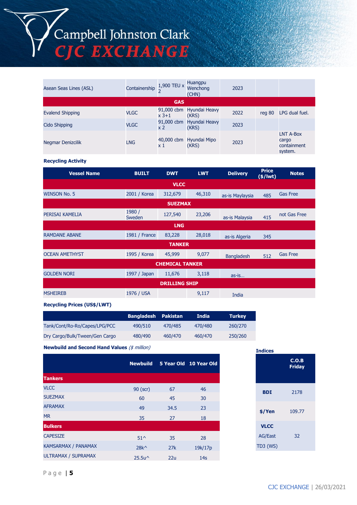| Asean Seas Lines (ASL) | Containership | 1,900 TEU x           | Huangpu<br>Wenchong<br>(CHN) | 2023 |        |                                              |  |
|------------------------|---------------|-----------------------|------------------------------|------|--------|----------------------------------------------|--|
| <b>GAS</b>             |               |                       |                              |      |        |                                              |  |
| Evalend Shipping       | <b>VLGC</b>   | 91,000 cbm<br>$x$ 3+1 | Hyundai Heavy<br>(KRS)       | 2022 | rea 80 | LPG dual fuel.                               |  |
| Cido Shipping          | <b>VLGC</b>   | 91,000 cbm<br>x 2     | Hyundai Heavy<br>(KRS)       | 2023 |        |                                              |  |
| Negmar Denizcilik      | <b>LNG</b>    | 40,000 cbm<br>x 1     | Hyundai Mipo<br>(KRS)        | 2023 |        | LNT A-Box<br>cargo<br>containment<br>system. |  |

#### **Recycling Activity**

| <b>Vessel Name</b>    | <b>BUILT</b>     | <b>DWT</b>             | <b>LWT</b> | <b>Delivery</b>   | <b>Price</b><br>$(*)$ lwt) | <b>Notes</b>    |  |  |
|-----------------------|------------------|------------------------|------------|-------------------|----------------------------|-----------------|--|--|
|                       |                  | <b>VLCC</b>            |            |                   |                            |                 |  |  |
| <b>WINSON No. 5</b>   | 2001 / Korea     | 312,679                | 46,310     | as-is Maylaysia   | 485                        | <b>Gas Free</b> |  |  |
|                       | <b>SUEZMAX</b>   |                        |            |                   |                            |                 |  |  |
| PERISAI KAMELIA       | 1980 /<br>Sweden | 127,540                | 23,206     | as-is Malaysia    | 415                        | not Gas Free    |  |  |
| <b>LNG</b>            |                  |                        |            |                   |                            |                 |  |  |
| <b>RAMDANE ABANE</b>  | 1981 / France    | 83,228                 | 28,018     | as-is Algeria     | 345                        |                 |  |  |
|                       |                  | <b>TANKER</b>          |            |                   |                            |                 |  |  |
| <b>OCEAN AMETHYST</b> | 1995 / Korea     | 45,999                 | 9,077      | <b>Bangladesh</b> | 512                        | <b>Gas Free</b> |  |  |
|                       |                  | <b>CHEMICAL TANKER</b> |            |                   |                            |                 |  |  |
| <b>GOLDEN NORI</b>    | 1997 / Japan     | 11,676                 | 3,118      | $as-is$           |                            |                 |  |  |
|                       |                  | <b>DRILLING SHIP</b>   |            |                   |                            |                 |  |  |
| <b>MSHEIREB</b>       | 1976 / USA       |                        | 9,117      | India             |                            |                 |  |  |

#### **Recycling Prices (US\$/LWT)**

|                                | <b>Bangladesh Pakistan</b> |         | India   | <b>Turkey</b> |
|--------------------------------|----------------------------|---------|---------|---------------|
| Tank/Cont/Ro-Ro/Capes/LPG/PCC  | 490/510                    | 470/485 | 470/480 | 260/270       |
| Dry Cargo/Bulk/Tween/Gen Cargo | 480/490                    | 460/470 | 460/470 | 250/260       |

**Newbuild and Second Hand Values** (\$ million)

|                            | <b>Newbuild</b>                     |      | 5 Year Old 10 Year Old |
|----------------------------|-------------------------------------|------|------------------------|
| <b>Tankers</b>             |                                     |      |                        |
| <b>VLCC</b>                | 90 (scr)                            | 67   | 46                     |
| <b>SUEZMAX</b>             | 60                                  | 45   | 30                     |
| <b>AFRAMAX</b>             | 49                                  | 34.5 | 23                     |
| <b>MR</b>                  | 35                                  | 27   | 18                     |
| <b>Bulkers</b>             |                                     |      |                        |
| <b>CAPESIZE</b>            | $51^{\circ}$                        | 35   | 28                     |
| KAMSARMAX / PANAMAX        | $28k^{\wedge}$                      | 27k  | 19k/17p                |
| <b>ULTRAMAX / SUPRAMAX</b> | 25.5u <sup><math>\land</math></sup> | 22u  | 14 <sub>S</sub>        |

| <b>Indices</b> |                        |
|----------------|------------------------|
|                | C.O.B<br><b>Friday</b> |
| <b>BDI</b>     | 2178                   |
| \$/Yen         | 109.77                 |
| <b>VLCC</b>    |                        |
| <b>AG/East</b> | 32                     |
| TD3 (WS)       |                        |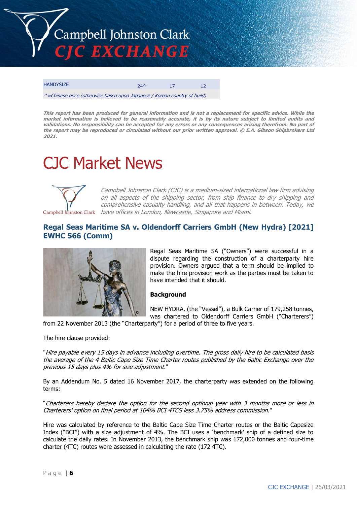

| <b>HANDYSIZE</b> | 71/ |  |
|------------------|-----|--|
|                  |     |  |

^=Chinese price (otherwise based upon Japanese / Korean country of build)

This report has been produced for general information and is not a replacement for specific advice. While the market information is believed to be reasonably accurate, it is by its nature subject to limited audits and validations. No responsibility can be accepted for any errors or any consequences arising therefrom. No part of the report may be reproduced or circulated without our prior written approval. © E.A. Gibson Shipbrokers Ltd **2021.**

# CJC Market News



Campbell Johnston Clark (CJC) is a medium-sized international law firm advising on all aspects of the shipping sector, from ship finance to dry shipping and comprehensive casualty handling, and all that happens in between. Today, we Campbell Johnston Clark have offices in London, Newcastle, Singapore and Miami.

# **Regal Seas Maritime SA v. Oldendorff Carriers GmbH (New Hydra) [2021] EWHC 566 (Comm)**



Regal Seas Maritime SA ("Owners") were successful in a dispute regarding the construction of a charterparty hire provision. Owners argued that a term should be implied to make the hire provision work as the parties must be taken to have intended that it should.

#### **Background**

NEW HYDRA, (the "Vessel"), a Bulk Carrier of 179,258 tonnes, was chartered to Oldendorff Carriers GmbH ("Charterers")

from 22 November 2013 (the "Charterparty") for a period of three to five years.

The hire clause provided:

"Hire payable every 15 days in advance including overtime. The gross daily hire to be calculated basis the average of the 4 Baltic Cape Size Time Charter routes published by the Baltic Exchange over the previous 15 days plus 4% for size adjustment."

By an Addendum No. 5 dated 16 November 2017, the charterparty was extended on the following terms:

"Charterers hereby declare the option for the second optional year with 3 months more or less in Charterers' option on final period at 104% BCI 4TCS less 3.75% address commission."

Hire was calculated by reference to the Baltic Cape Size Time Charter routes or the Baltic Capesize Index ("BCI") with a size adjustment of 4%. The BCI uses a 'benchmark' ship of a defined size to calculate the daily rates. In November 2013, the benchmark ship was 172,000 tonnes and four-time charter (4TC) routes were assessed in calculating the rate (172 4TC).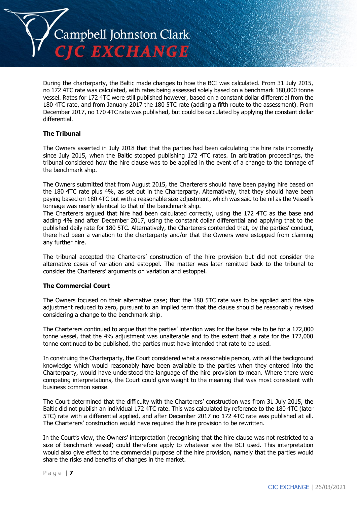

During the charterparty, the Baltic made changes to how the BCI was calculated. From 31 July 2015, no 172 4TC rate was calculated, with rates being assessed solely based on a benchmark 180,000 tonne vessel. Rates for 172 4TC were still published however, based on a constant dollar differential from the 180 4TC rate, and from January 2017 the 180 5TC rate (adding a fifth route to the assessment). From December 2017, no 170 4TC rate was published, but could be calculated by applying the constant dollar differential.

#### **The Tribunal**

The Owners asserted in July 2018 that that the parties had been calculating the hire rate incorrectly since July 2015, when the Baltic stopped publishing 172 4TC rates. In arbitration proceedings, the tribunal considered how the hire clause was to be applied in the event of a change to the tonnage of the benchmark ship.

The Owners submitted that from August 2015, the Charterers should have been paying hire based on the 180 4TC rate plus 4%, as set out in the Charterparty. Alternatively, that they should have been paying based on 180 4TC but with a reasonable size adjustment, which was said to be nil as the Vessel's tonnage was nearly identical to that of the benchmark ship.

The Charterers argued that hire had been calculated correctly, using the 172 4TC as the base and adding 4% and after December 2017, using the constant dollar differential and applying that to the published daily rate for 180 5TC. Alternatively, the Charterers contended that, by the parties' conduct, there had been a variation to the charterparty and/or that the Owners were estopped from claiming any further hire.

The tribunal accepted the Charterers' construction of the hire provision but did not consider the alternative cases of variation and estoppel. The matter was later remitted back to the tribunal to consider the Charterers' arguments on variation and estoppel.

#### **The Commercial Court**

The Owners focused on their alternative case; that the 180 5TC rate was to be applied and the size adjustment reduced to zero, pursuant to an implied term that the clause should be reasonably revised considering a change to the benchmark ship.

The Charterers continued to argue that the parties' intention was for the base rate to be for a 172,000 tonne vessel, that the 4% adjustment was unalterable and to the extent that a rate for the 172,000 tonne continued to be published, the parties must have intended that rate to be used.

In construing the Charterparty, the Court considered what a reasonable person, with all the background knowledge which would reasonably have been available to the parties when they entered into the Charterparty, would have understood the language of the hire provision to mean. Where there were competing interpretations, the Court could give weight to the meaning that was most consistent with business common sense.

The Court determined that the difficulty with the Charterers' construction was from 31 July 2015, the Baltic did not publish an individual 172 4TC rate. This was calculated by reference to the 180 4TC (later 5TC) rate with a differential applied, and after December 2017 no 172 4TC rate was published at all. The Charterers' construction would have required the hire provision to be rewritten.

In the Court's view, the Owners' interpretation (recognising that the hire clause was not restricted to a size of benchmark vessel) could therefore apply to whatever size the BCI used. This interpretation would also give effect to the commercial purpose of the hire provision, namely that the parties would share the risks and benefits of changes in the market.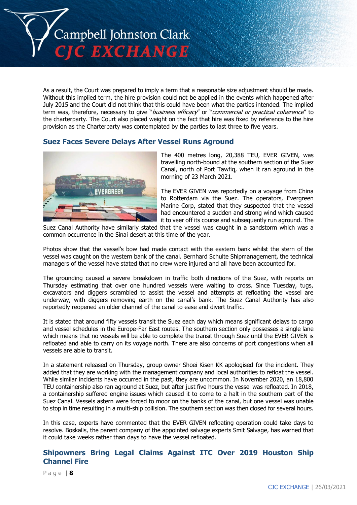

As a result, the Court was prepared to imply a term that a reasonable size adjustment should be made. Without this implied term, the hire provision could not be applied in the events which happened after July 2015 and the Court did not think that this could have been what the parties intended. The implied term was, therefore, necessary to give "business efficacy" or "commercial or practical coherence" to the charterparty. The Court also placed weight on the fact that hire was fixed by reference to the hire provision as the Charterparty was contemplated by the parties to last three to five years.

## **Suez Faces Severe Delays After Vessel Runs Aground**



The 400 metres long, 20,388 TEU, EVER GIVEN, was travelling north-bound at the southern section of the Suez Canal, north of Port Tawfiq, when it ran aground in the morning of 23 March 2021.

The EVER GIVEN was reportedly on a voyage from China to Rotterdam via the Suez. The operators, Evergreen Marine Corp, stated that they suspected that the vessel had encountered a sudden and strong wind which caused it to veer off its course and subsequently run aground. The

Suez Canal Authority have similarly stated that the vessel was caught in a sandstorm which was a common occurrence in the Sinai desert at this time of the year.

Photos show that the vessel's bow had made contact with the eastern bank whilst the stern of the vessel was caught on the western bank of the canal. Bernhard Schulte Shipmanagement, the technical managers of the vessel have stated that no crew were injured and all have been accounted for.

The grounding caused a severe breakdown in traffic both directions of the Suez, with reports on Thursday estimating that over one hundred vessels were waiting to cross. Since Tuesday, tugs, excavators and diggers scrambled to assist the vessel and attempts at refloating the vessel are underway, with diggers removing earth on the canal's bank. The Suez Canal Authority has also reportedly reopened an older channel of the canal to ease and divert traffic.

It is stated that around fifty vessels transit the Suez each day which means significant delays to cargo and vessel schedules in the Europe-Far East routes. The southern section only possesses a single lane which means that no vessels will be able to complete the transit through Suez until the EVER GIVEN is refloated and able to carry on its voyage north. There are also concerns of port congestions when all vessels are able to transit.

In a statement released on Thursday, group owner Shoei Kisen KK apologised for the incident. They added that they are working with the management company and local authorities to refloat the vessel. While similar incidents have occurred in the past, they are uncommon. In November 2020, an 18,800 TEU containership also ran aground at Suez, but after just five hours the vessel was refloated. In 2018, a containership suffered engine issues which caused it to come to a halt in the southern part of the Suez Canal. Vessels astern were forced to moor on the banks of the canal, but one vessel was unable to stop in time resulting in a multi-ship collision. The southern section was then closed for several hours.

In this case, experts have commented that the EVER GIVEN refloating operation could take days to resolve. Boskalis, the parent company of the appointed salvage experts Smit Salvage, has warned that it could take weeks rather than days to have the vessel refloated.

# **Shipowners Bring Legal Claims Against ITC Over 2019 Houston Ship Channel Fire**

P a g e | **8**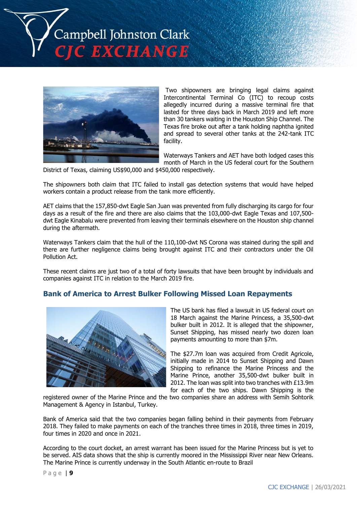



Two shipowners are bringing legal claims against Intercontinental Terminal Co (ITC) to recoup costs allegedly incurred during a massive terminal fire that lasted for three days back in March 2019 and left more than 30 tankers waiting in the Houston Ship Channel. The Texas fire broke out after a tank holding naphtha ignited and spread to several other tanks at the 242-tank ITC facility.

Waterways Tankers and AET have both lodged cases this month of March in the US federal court for the Southern

District of Texas, claiming US\$90,000 and \$450,000 respectively.

The shipowners both claim that ITC failed to install gas detection systems that would have helped workers contain a product release from the tank more efficiently.

AET claims that the 157,850-dwt Eagle San Juan was prevented from fully discharging its cargo for four days as a result of the fire and there are also claims that the 103,000-dwt Eagle Texas and 107,500 dwt Eagle Kinabalu were prevented from leaving their terminals elsewhere on the Houston ship channel during the aftermath.

Waterways Tankers claim that the hull of the 110,100-dwt NS Corona was stained during the spill and there are further negligence claims being brought against ITC and their contractors under the Oil Pollution Act.

These recent claims are just two of a total of forty lawsuits that have been brought by individuals and companies against ITC in relation to the March 2019 fire.

# **Bank of America to Arrest Bulker Following Missed Loan Repayments**



The US bank has filed a lawsuit in US federal court on 18 March against the Marine Princess, a 35,500-dwt bulker built in 2012. It is alleged that the shipowner, Sunset Shipping, has missed nearly two dozen loan payments amounting to more than \$7m.

The \$27.7m loan was acquired from Credit Agricole, initially made in 2014 to Sunset Shipping and Dawn Shipping to refinance the Marine Princess and the Marine Prince, another 35,500-dwt bulker built in 2012. The loan was split into two tranches with £13.9m for each of the two ships. Dawn Shipping is the

registered owner of the Marine Prince and the two companies share an address with Semih Sohtorik Management & Agency in Istanbul, Turkey.

Bank of America said that the two companies began falling behind in their payments from February 2018. They failed to make payments on each of the tranches three times in 2018, three times in 2019, four times in 2020 and once in 2021.

According to the court docket, an arrest warrant has been issued for the Marine Princess but is yet to be served. AIS data shows that the ship is currently moored in the Mississippi River near New Orleans. The Marine Prince is currently underway in the South Atlantic en-route to Brazil